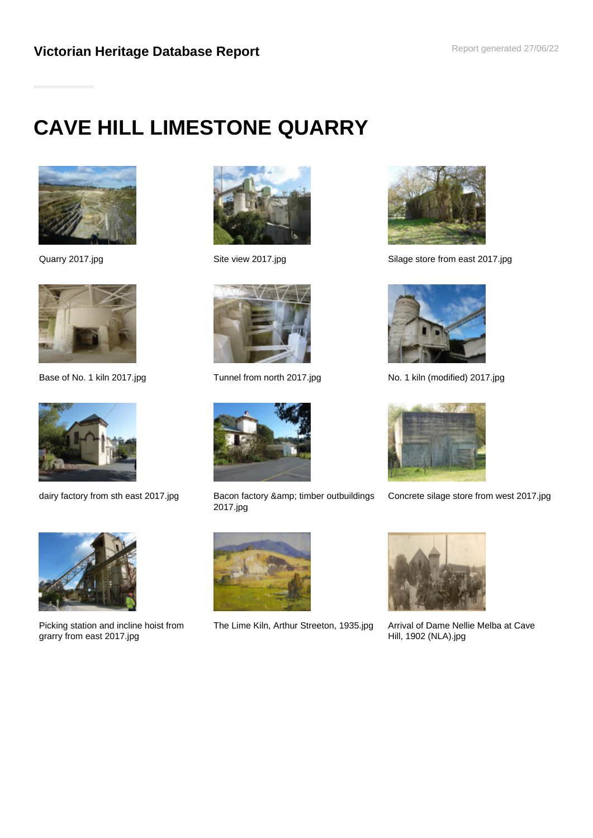# **CAVE HILL LIMESTONE QUARRY**









Picking station and incline hoist from grarry from east 2017.jpg







dairy factory from sth east 2017.jpg Bacon factory & amp; timber outbuildings 2017.jpg



The Lime Kiln, Arthur Streeton, 1935.jpg Arrival of Dame Nellie Melba at Cave



Quarry 2017.jpg **Site view 2017.jpg** Site view 2017.jpg Silage store from east 2017.jpg



Base of No. 1 kiln 2017.jpg Tunnel from north 2017.jpg No. 1 kiln (modified) 2017.jpg



Concrete silage store from west 2017.jpg



Hill, 1902 (NLA).jpg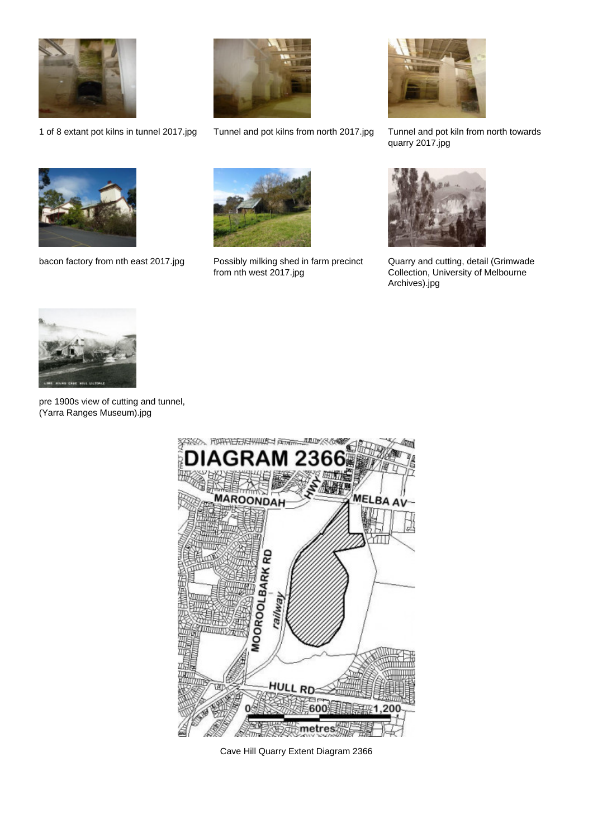





1 of 8 extant pot kilns in tunnel 2017.jpg Tunnel and pot kilns from north 2017.jpg Tunnel and pot kiln from north towards quarry 2017.jpg



bacon factory from nth east 2017.jpg Possibly milking shed in farm precinct



from nth west 2017.jpg



Quarry and cutting, detail (Grimwade Collection, University of Melbourne Archives).jpg



pre 1900s view of cutting and tunnel, (Yarra Ranges Museum).jpg



Cave Hill Quarry Extent Diagram 2366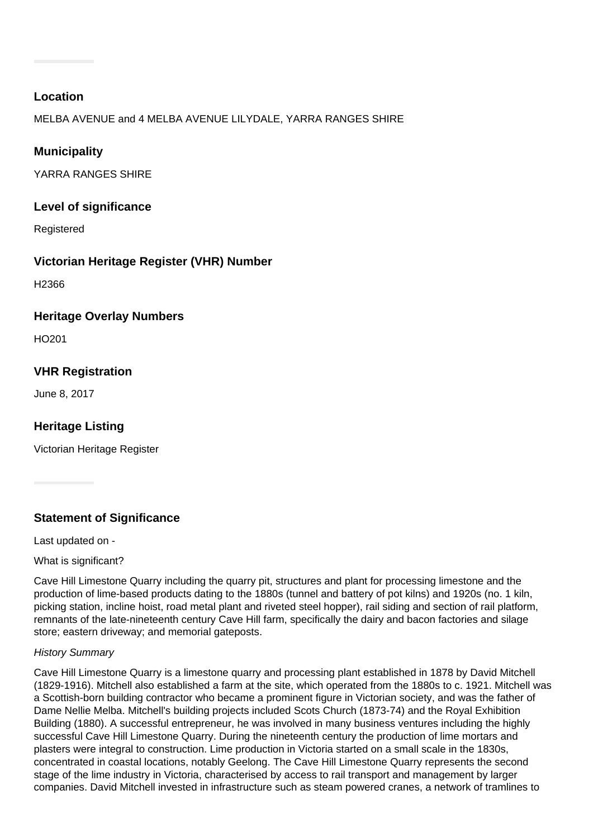## **Location**

MELBA AVENUE and 4 MELBA AVENUE LILYDALE, YARRA RANGES SHIRE

# **Municipality**

YARRA RANGES SHIRE

# **Level of significance**

Registered

# **Victorian Heritage Register (VHR) Number**

H2366

## **Heritage Overlay Numbers**

HO201

# **VHR Registration**

June 8, 2017

# **Heritage Listing**

Victorian Heritage Register

# **Statement of Significance**

Last updated on -

What is significant?

Cave Hill Limestone Quarry including the quarry pit, structures and plant for processing limestone and the production of lime-based products dating to the 1880s (tunnel and battery of pot kilns) and 1920s (no. 1 kiln, picking station, incline hoist, road metal plant and riveted steel hopper), rail siding and section of rail platform, remnants of the late-nineteenth century Cave Hill farm, specifically the dairy and bacon factories and silage store; eastern driveway; and memorial gateposts.

## History Summary

Cave Hill Limestone Quarry is a limestone quarry and processing plant established in 1878 by David Mitchell (1829-1916). Mitchell also established a farm at the site, which operated from the 1880s to c. 1921. Mitchell was a Scottish-born building contractor who became a prominent figure in Victorian society, and was the father of Dame Nellie Melba. Mitchell's building projects included Scots Church (1873-74) and the Royal Exhibition Building (1880). A successful entrepreneur, he was involved in many business ventures including the highly successful Cave Hill Limestone Quarry. During the nineteenth century the production of lime mortars and plasters were integral to construction. Lime production in Victoria started on a small scale in the 1830s, concentrated in coastal locations, notably Geelong. The Cave Hill Limestone Quarry represents the second stage of the lime industry in Victoria, characterised by access to rail transport and management by larger companies. David Mitchell invested in infrastructure such as steam powered cranes, a network of tramlines to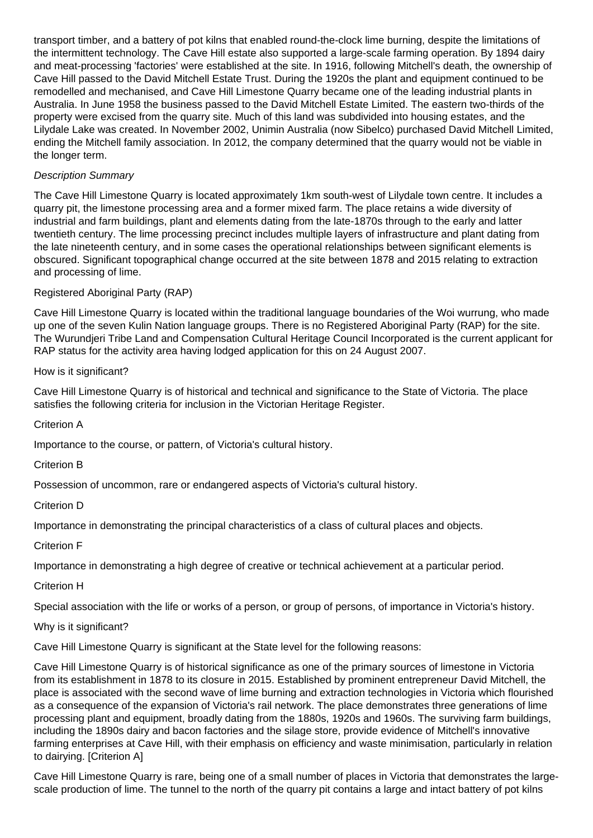transport timber, and a battery of pot kilns that enabled round-the-clock lime burning, despite the limitations of the intermittent technology. The Cave Hill estate also supported a large-scale farming operation. By 1894 dairy and meat-processing 'factories' were established at the site. In 1916, following Mitchell's death, the ownership of Cave Hill passed to the David Mitchell Estate Trust. During the 1920s the plant and equipment continued to be remodelled and mechanised, and Cave Hill Limestone Quarry became one of the leading industrial plants in Australia. In June 1958 the business passed to the David Mitchell Estate Limited. The eastern two-thirds of the property were excised from the quarry site. Much of this land was subdivided into housing estates, and the Lilydale Lake was created. In November 2002, Unimin Australia (now Sibelco) purchased David Mitchell Limited, ending the Mitchell family association. In 2012, the company determined that the quarry would not be viable in the longer term.

## Description Summary

The Cave Hill Limestone Quarry is located approximately 1km south-west of Lilydale town centre. It includes a quarry pit, the limestone processing area and a former mixed farm. The place retains a wide diversity of industrial and farm buildings, plant and elements dating from the late-1870s through to the early and latter twentieth century. The lime processing precinct includes multiple layers of infrastructure and plant dating from the late nineteenth century, and in some cases the operational relationships between significant elements is obscured. Significant topographical change occurred at the site between 1878 and 2015 relating to extraction and processing of lime.

#### Registered Aboriginal Party (RAP)

Cave Hill Limestone Quarry is located within the traditional language boundaries of the Woi wurrung, who made up one of the seven Kulin Nation language groups. There is no Registered Aboriginal Party (RAP) for the site. The Wurundjeri Tribe Land and Compensation Cultural Heritage Council Incorporated is the current applicant for RAP status for the activity area having lodged application for this on 24 August 2007.

How is it significant?

Cave Hill Limestone Quarry is of historical and technical and significance to the State of Victoria. The place satisfies the following criteria for inclusion in the Victorian Heritage Register.

Criterion A

Importance to the course, or pattern, of Victoria's cultural history.

Criterion B

Possession of uncommon, rare or endangered aspects of Victoria's cultural history.

Criterion D

Importance in demonstrating the principal characteristics of a class of cultural places and objects.

Criterion F

Importance in demonstrating a high degree of creative or technical achievement at a particular period.

#### Criterion H

Special association with the life or works of a person, or group of persons, of importance in Victoria's history.

#### Why is it significant?

Cave Hill Limestone Quarry is significant at the State level for the following reasons:

Cave Hill Limestone Quarry is of historical significance as one of the primary sources of limestone in Victoria from its establishment in 1878 to its closure in 2015. Established by prominent entrepreneur David Mitchell, the place is associated with the second wave of lime burning and extraction technologies in Victoria which flourished as a consequence of the expansion of Victoria's rail network. The place demonstrates three generations of lime processing plant and equipment, broadly dating from the 1880s, 1920s and 1960s. The surviving farm buildings, including the 1890s dairy and bacon factories and the silage store, provide evidence of Mitchell's innovative farming enterprises at Cave Hill, with their emphasis on efficiency and waste minimisation, particularly in relation to dairying. [Criterion A]

Cave Hill Limestone Quarry is rare, being one of a small number of places in Victoria that demonstrates the largescale production of lime. The tunnel to the north of the quarry pit contains a large and intact battery of pot kilns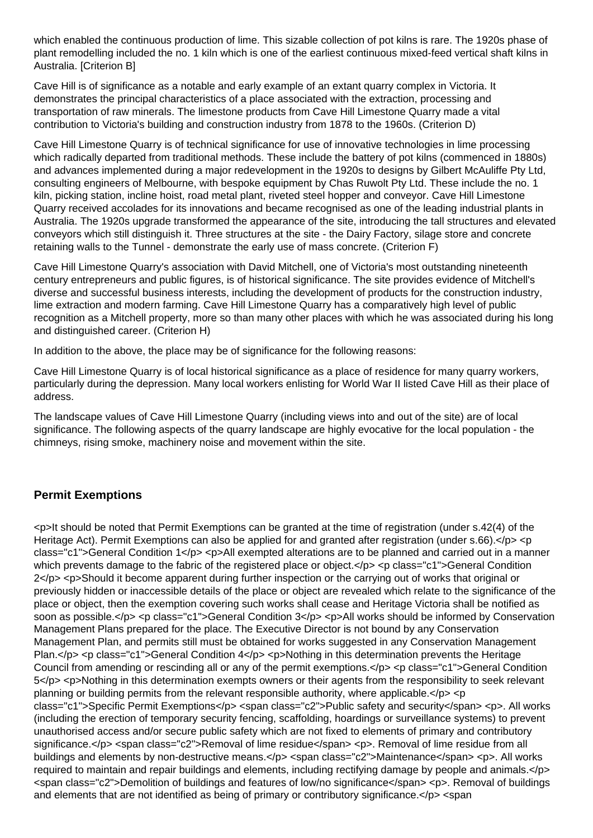which enabled the continuous production of lime. This sizable collection of pot kilns is rare. The 1920s phase of plant remodelling included the no. 1 kiln which is one of the earliest continuous mixed-feed vertical shaft kilns in Australia. [Criterion B]

Cave Hill is of significance as a notable and early example of an extant quarry complex in Victoria. It demonstrates the principal characteristics of a place associated with the extraction, processing and transportation of raw minerals. The limestone products from Cave Hill Limestone Quarry made a vital contribution to Victoria's building and construction industry from 1878 to the 1960s. (Criterion D)

Cave Hill Limestone Quarry is of technical significance for use of innovative technologies in lime processing which radically departed from traditional methods. These include the battery of pot kilns (commenced in 1880s) and advances implemented during a major redevelopment in the 1920s to designs by Gilbert McAuliffe Pty Ltd, consulting engineers of Melbourne, with bespoke equipment by Chas Ruwolt Pty Ltd. These include the no. 1 kiln, picking station, incline hoist, road metal plant, riveted steel hopper and conveyor. Cave Hill Limestone Quarry received accolades for its innovations and became recognised as one of the leading industrial plants in Australia. The 1920s upgrade transformed the appearance of the site, introducing the tall structures and elevated conveyors which still distinguish it. Three structures at the site - the Dairy Factory, silage store and concrete retaining walls to the Tunnel - demonstrate the early use of mass concrete. (Criterion F)

Cave Hill Limestone Quarry's association with David Mitchell, one of Victoria's most outstanding nineteenth century entrepreneurs and public figures, is of historical significance. The site provides evidence of Mitchell's diverse and successful business interests, including the development of products for the construction industry, lime extraction and modern farming. Cave Hill Limestone Quarry has a comparatively high level of public recognition as a Mitchell property, more so than many other places with which he was associated during his long and distinguished career. (Criterion H)

In addition to the above, the place may be of significance for the following reasons:

Cave Hill Limestone Quarry is of local historical significance as a place of residence for many quarry workers, particularly during the depression. Many local workers enlisting for World War II listed Cave Hill as their place of address.

The landscape values of Cave Hill Limestone Quarry (including views into and out of the site) are of local significance. The following aspects of the quarry landscape are highly evocative for the local population - the chimneys, rising smoke, machinery noise and movement within the site.

## **Permit Exemptions**

<p>It should be noted that Permit Exemptions can be granted at the time of registration (under s.42(4) of the Heritage Act). Permit Exemptions can also be applied for and granted after registration (under s.66).</p> <p class="c1">General Condition 1</p> <p>All exempted alterations are to be planned and carried out in a manner which prevents damage to the fabric of the registered place or object.</p> <p class="c1">General Condition  $2 < p>$  <p>Should it become apparent during further inspection or the carrying out of works that original or previously hidden or inaccessible details of the place or object are revealed which relate to the significance of the place or object, then the exemption covering such works shall cease and Heritage Victoria shall be notified as soon as possible.</p> <p class="c1">General Condition 3</p> <p>All works should be informed by Conservation Management Plans prepared for the place. The Executive Director is not bound by any Conservation Management Plan, and permits still must be obtained for works suggested in any Conservation Management Plan.</p> <p class="c1">General Condition 4</p> <p>Nothing in this determination prevents the Heritage Council from amending or rescinding all or any of the permit exemptions.</p> <p class="c1">General Condition 5</p> <p>Nothing in this determination exempts owners or their agents from the responsibility to seek relevant planning or building permits from the relevant responsible authority, where applicable. $\langle p \rangle \langle p \rangle$ class="c1">Specific Permit Exemptions</p> <span class="c2">Public safety and security</span> <p>. All works (including the erection of temporary security fencing, scaffolding, hoardings or surveillance systems) to prevent unauthorised access and/or secure public safety which are not fixed to elements of primary and contributory significance.</p> <span class="c2">Removal of lime residue</span> <p>. Removal of lime residue from all buildings and elements by non-destructive means.</p> <span class="c2">Maintenance</span> <p>. All works required to maintain and repair buildings and elements, including rectifying damage by people and animals.</p> <span class="c2">Demolition of buildings and features of low/no significance</span> <p>. Removal of buildings and elements that are not identified as being of primary or contributory significance.</p> <span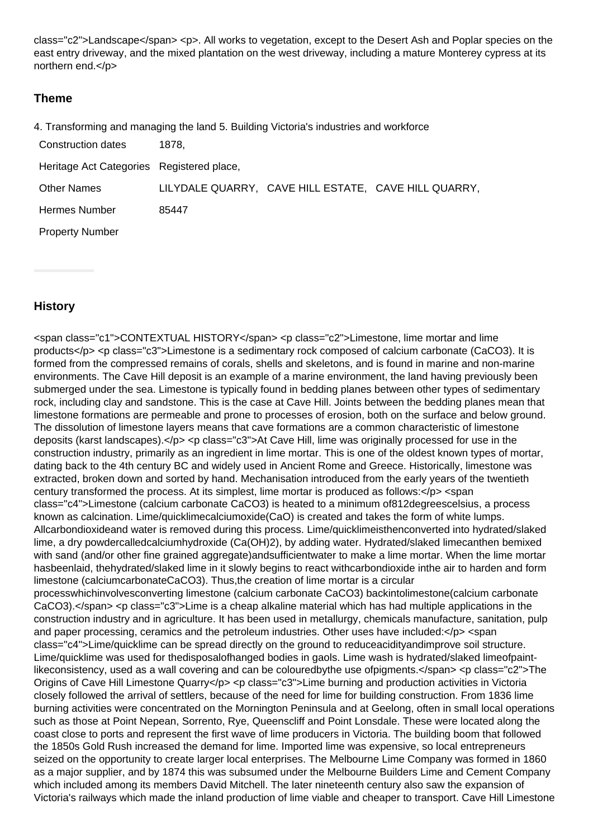class="c2">Landscape</span> <p>. All works to vegetation, except to the Desert Ash and Poplar species on the east entry driveway, and the mixed plantation on the west driveway, including a mature Monterey cypress at its northern end.</p>

## **Theme**

|  |  |  |  | 4. Transforming and managing the land 5. Building Victoria's industries and workforce |
|--|--|--|--|---------------------------------------------------------------------------------------|
|--|--|--|--|---------------------------------------------------------------------------------------|

| Construction dates | 1878, |
|--------------------|-------|
|--------------------|-------|

| Heritage Act Categories Registered place, |       |  |                                                      |  |  |
|-------------------------------------------|-------|--|------------------------------------------------------|--|--|
| <b>Other Names</b>                        |       |  | LILYDALE QUARRY, CAVE HILL ESTATE, CAVE HILL QUARRY, |  |  |
| Hermes Number                             | 85447 |  |                                                      |  |  |
| <b>Property Number</b>                    |       |  |                                                      |  |  |

## **History**

<span class="c1">CONTEXTUAL HISTORY</span> <p class="c2">Limestone, lime mortar and lime products</p> <p class="c3">Limestone is a sedimentary rock composed of calcium carbonate (CaCO3). It is formed from the compressed remains of corals, shells and skeletons, and is found in marine and non-marine environments. The Cave Hill deposit is an example of a marine environment, the land having previously been submerged under the sea. Limestone is typically found in bedding planes between other types of sedimentary rock, including clay and sandstone. This is the case at Cave Hill. Joints between the bedding planes mean that limestone formations are permeable and prone to processes of erosion, both on the surface and below ground. The dissolution of limestone layers means that cave formations are a common characteristic of limestone deposits (karst landscapes).</p> <p class="c3">At Cave Hill, lime was originally processed for use in the construction industry, primarily as an ingredient in lime mortar. This is one of the oldest known types of mortar, dating back to the 4th century BC and widely used in Ancient Rome and Greece. Historically, limestone was extracted, broken down and sorted by hand. Mechanisation introduced from the early years of the twentieth century transformed the process. At its simplest, lime mortar is produced as follows:</p> <span class="c4">Limestone (calcium carbonate CaCO3) is heated to a minimum of812degreescelsius, a process known as calcination. Lime/quicklimecalciumoxide(CaO) is created and takes the form of white lumps. Allcarbondioxideand water is removed during this process. Lime/quicklimeisthenconverted into hydrated/slaked lime, a dry powdercalledcalciumhydroxide (Ca(OH)2), by adding water. Hydrated/slaked limecanthen bemixed with sand (and/or other fine grained aggregate)andsufficientwater to make a lime mortar. When the lime mortar hasbeenlaid, thehydrated/slaked lime in it slowly begins to react withcarbondioxide inthe air to harden and form limestone (calciumcarbonateCaCO3). Thus,the creation of lime mortar is a circular processwhichinvolvesconverting limestone (calcium carbonate CaCO3) backintolimestone(calcium carbonate CaCO3).</span> <p class="c3">Lime is a cheap alkaline material which has had multiple applications in the construction industry and in agriculture. It has been used in metallurgy, chemicals manufacture, sanitation, pulp and paper processing, ceramics and the petroleum industries. Other uses have included:</p> <span class="c4">Lime/quicklime can be spread directly on the ground to reduceacidityandimprove soil structure. Lime/quicklime was used for thedisposalofhanged bodies in gaols. Lime wash is hydrated/slaked limeofpaintlikeconsistency, used as a wall covering and can be colouredbythe use ofpigments.</span> <p class="c2">The Origins of Cave Hill Limestone Quarry</p> <p class="c3">Lime burning and production activities in Victoria closely followed the arrival of settlers, because of the need for lime for building construction. From 1836 lime burning activities were concentrated on the Mornington Peninsula and at Geelong, often in small local operations such as those at Point Nepean, Sorrento, Rye, Queenscliff and Point Lonsdale. These were located along the coast close to ports and represent the first wave of lime producers in Victoria. The building boom that followed the 1850s Gold Rush increased the demand for lime. Imported lime was expensive, so local entrepreneurs seized on the opportunity to create larger local enterprises. The Melbourne Lime Company was formed in 1860 as a major supplier, and by 1874 this was subsumed under the Melbourne Builders Lime and Cement Company which included among its members David Mitchell. The later nineteenth century also saw the expansion of Victoria's railways which made the inland production of lime viable and cheaper to transport. Cave Hill Limestone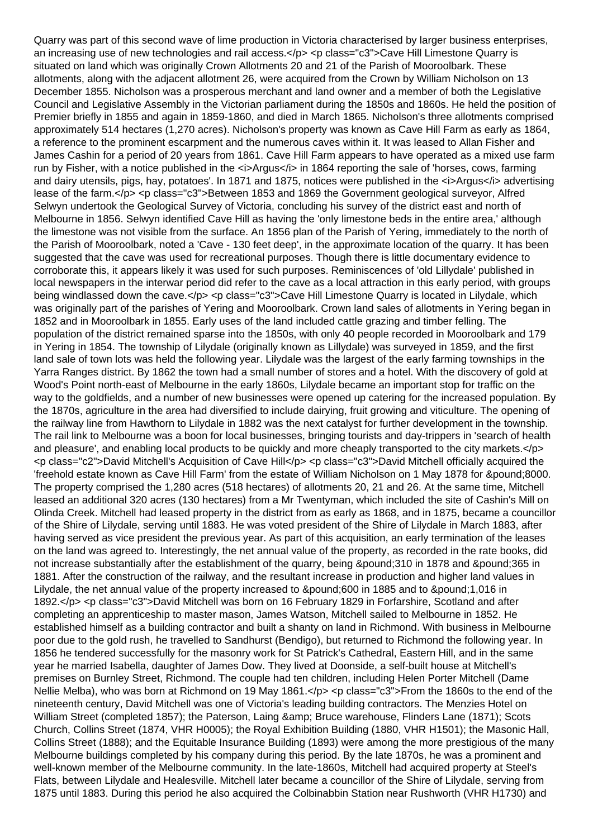Quarry was part of this second wave of lime production in Victoria characterised by larger business enterprises, an increasing use of new technologies and rail access.</p> <p class="c3">Cave Hill Limestone Quarry is situated on land which was originally Crown Allotments 20 and 21 of the Parish of Mooroolbark. These allotments, along with the adjacent allotment 26, were acquired from the Crown by William Nicholson on 13 December 1855. Nicholson was a prosperous merchant and land owner and a member of both the Legislative Council and Legislative Assembly in the Victorian parliament during the 1850s and 1860s. He held the position of Premier briefly in 1855 and again in 1859-1860, and died in March 1865. Nicholson's three allotments comprised approximately 514 hectares (1,270 acres). Nicholson's property was known as Cave Hill Farm as early as 1864, a reference to the prominent escarpment and the numerous caves within it. It was leased to Allan Fisher and James Cashin for a period of 20 years from 1861. Cave Hill Farm appears to have operated as a mixed use farm run by Fisher, with a notice published in the <i>Argus</i> in 1864 reporting the sale of 'horses, cows, farming and dairy utensils, pigs, hay, potatoes'. In 1871 and 1875, notices were published in the *Argus* advertising lease of the farm.</p> <p class="c3">Between 1853 and 1869 the Government geological surveyor, Alfred Selwyn undertook the Geological Survey of Victoria, concluding his survey of the district east and north of Melbourne in 1856. Selwyn identified Cave Hill as having the 'only limestone beds in the entire area,' although the limestone was not visible from the surface. An 1856 plan of the Parish of Yering, immediately to the north of the Parish of Mooroolbark, noted a 'Cave - 130 feet deep', in the approximate location of the quarry. It has been suggested that the cave was used for recreational purposes. Though there is little documentary evidence to corroborate this, it appears likely it was used for such purposes. Reminiscences of 'old Lillydale' published in local newspapers in the interwar period did refer to the cave as a local attraction in this early period, with groups being windlassed down the cave.</p> <p class="c3">Cave Hill Limestone Quarry is located in Lilydale, which was originally part of the parishes of Yering and Mooroolbark. Crown land sales of allotments in Yering began in 1852 and in Mooroolbark in 1855. Early uses of the land included cattle grazing and timber felling. The population of the district remained sparse into the 1850s, with only 40 people recorded in Mooroolbark and 179 in Yering in 1854. The township of Lilydale (originally known as Lillydale) was surveyed in 1859, and the first land sale of town lots was held the following year. Lilydale was the largest of the early farming townships in the Yarra Ranges district. By 1862 the town had a small number of stores and a hotel. With the discovery of gold at Wood's Point north-east of Melbourne in the early 1860s, Lilydale became an important stop for traffic on the way to the goldfields, and a number of new businesses were opened up catering for the increased population. By the 1870s, agriculture in the area had diversified to include dairying, fruit growing and viticulture. The opening of the railway line from Hawthorn to Lilydale in 1882 was the next catalyst for further development in the township. The rail link to Melbourne was a boon for local businesses, bringing tourists and day-trippers in 'search of health and pleasure', and enabling local products to be quickly and more cheaply transported to the city markets.</p> <p class="c2">David Mitchell's Acquisition of Cave Hill</p> <p class="c3">David Mitchell officially acquired the 'freehold estate known as Cave Hill Farm' from the estate of William Nicholson on 1 May 1878 for &pound:8000. The property comprised the 1,280 acres (518 hectares) of allotments 20, 21 and 26. At the same time, Mitchell leased an additional 320 acres (130 hectares) from a Mr Twentyman, which included the site of Cashin's Mill on Olinda Creek. Mitchell had leased property in the district from as early as 1868, and in 1875, became a councillor of the Shire of Lilydale, serving until 1883. He was voted president of the Shire of Lilydale in March 1883, after having served as vice president the previous year. As part of this acquisition, an early termination of the leases on the land was agreed to. Interestingly, the net annual value of the property, as recorded in the rate books, did not increase substantially after the establishment of the quarry, being &pound:310 in 1878 and &pound:365 in 1881. After the construction of the railway, and the resultant increase in production and higher land values in Lilydale, the net annual value of the property increased to £600 in 1885 and to £1,016 in 1892.</p> <p class="c3">David Mitchell was born on 16 February 1829 in Forfarshire, Scotland and after completing an apprenticeship to master mason, James Watson, Mitchell sailed to Melbourne in 1852. He established himself as a building contractor and built a shanty on land in Richmond. With business in Melbourne poor due to the gold rush, he travelled to Sandhurst (Bendigo), but returned to Richmond the following year. In 1856 he tendered successfully for the masonry work for St Patrick's Cathedral, Eastern Hill, and in the same year he married Isabella, daughter of James Dow. They lived at Doonside, a self-built house at Mitchell's premises on Burnley Street, Richmond. The couple had ten children, including Helen Porter Mitchell (Dame Nellie Melba), who was born at Richmond on 19 May 1861.</p> <p class="c3">From the 1860s to the end of the nineteenth century, David Mitchell was one of Victoria's leading building contractors. The Menzies Hotel on William Street (completed 1857); the Paterson, Laing & amp; Bruce warehouse, Flinders Lane (1871); Scots Church, Collins Street (1874, VHR H0005); the Royal Exhibition Building (1880, VHR H1501); the Masonic Hall, Collins Street (1888); and the Equitable Insurance Building (1893) were among the more prestigious of the many Melbourne buildings completed by his company during this period. By the late 1870s, he was a prominent and well-known member of the Melbourne community. In the late-1860s, Mitchell had acquired property at Steel's Flats, between Lilydale and Healesville. Mitchell later became a councillor of the Shire of Lilydale, serving from 1875 until 1883. During this period he also acquired the Colbinabbin Station near Rushworth (VHR H1730) and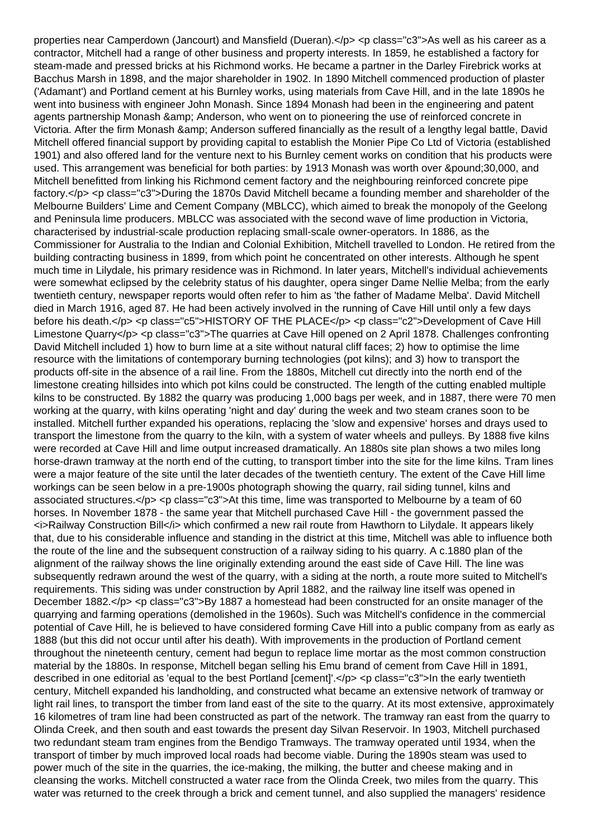properties near Camperdown (Jancourt) and Mansfield (Dueran).</p> <p class="c3">As well as his career as a contractor, Mitchell had a range of other business and property interests. In 1859, he established a factory for steam-made and pressed bricks at his Richmond works. He became a partner in the Darley Firebrick works at Bacchus Marsh in 1898, and the major shareholder in 1902. In 1890 Mitchell commenced production of plaster ('Adamant') and Portland cement at his Burnley works, using materials from Cave Hill, and in the late 1890s he went into business with engineer John Monash. Since 1894 Monash had been in the engineering and patent agents partnership Monash & amp: Anderson, who went on to pioneering the use of reinforced concrete in Victoria. After the firm Monash & amp: Anderson suffered financially as the result of a lengthy legal battle, David Mitchell offered financial support by providing capital to establish the Monier Pipe Co Ltd of Victoria (established 1901) and also offered land for the venture next to his Burnley cement works on condition that his products were used. This arrangement was beneficial for both parties: by 1913 Monash was worth over £30,000, and Mitchell benefitted from linking his Richmond cement factory and the neighbouring reinforced concrete pipe factory.</p> <p class="c3">During the 1870s David Mitchell became a founding member and shareholder of the Melbourne Builders' Lime and Cement Company (MBLCC), which aimed to break the monopoly of the Geelong and Peninsula lime producers. MBLCC was associated with the second wave of lime production in Victoria, characterised by industrial-scale production replacing small-scale owner-operators. In 1886, as the Commissioner for Australia to the Indian and Colonial Exhibition, Mitchell travelled to London. He retired from the building contracting business in 1899, from which point he concentrated on other interests. Although he spent much time in Lilydale, his primary residence was in Richmond. In later years, Mitchell's individual achievements were somewhat eclipsed by the celebrity status of his daughter, opera singer Dame Nellie Melba; from the early twentieth century, newspaper reports would often refer to him as 'the father of Madame Melba'. David Mitchell died in March 1916, aged 87. He had been actively involved in the running of Cave Hill until only a few days before his death.</p> <p class="c5">HISTORY OF THE PLACE</p> <p class="c2">Development of Cave Hill Limestone Quarry</p> <p class="c3">The quarries at Cave Hill opened on 2 April 1878. Challenges confronting David Mitchell included 1) how to burn lime at a site without natural cliff faces; 2) how to optimise the lime resource with the limitations of contemporary burning technologies (pot kilns); and 3) how to transport the products off-site in the absence of a rail line. From the 1880s, Mitchell cut directly into the north end of the limestone creating hillsides into which pot kilns could be constructed. The length of the cutting enabled multiple kilns to be constructed. By 1882 the quarry was producing 1,000 bags per week, and in 1887, there were 70 men working at the quarry, with kilns operating 'night and day' during the week and two steam cranes soon to be installed. Mitchell further expanded his operations, replacing the 'slow and expensive' horses and drays used to transport the limestone from the quarry to the kiln, with a system of water wheels and pulleys. By 1888 five kilns were recorded at Cave Hill and lime output increased dramatically. An 1880s site plan shows a two miles long horse-drawn tramway at the north end of the cutting, to transport timber into the site for the lime kilns. Tram lines were a major feature of the site until the later decades of the twentieth century. The extent of the Cave Hill lime workings can be seen below in a pre-1900s photograph showing the quarry, rail siding tunnel, kilns and associated structures.</p> <p class="c3">At this time, lime was transported to Melbourne by a team of 60 horses. In November 1878 - the same year that Mitchell purchased Cave Hill - the government passed the <i>Railway Construction Bill</i> which confirmed a new rail route from Hawthorn to Lilydale. It appears likely that, due to his considerable influence and standing in the district at this time, Mitchell was able to influence both the route of the line and the subsequent construction of a railway siding to his quarry. A c.1880 plan of the alignment of the railway shows the line originally extending around the east side of Cave Hill. The line was subsequently redrawn around the west of the quarry, with a siding at the north, a route more suited to Mitchell's requirements. This siding was under construction by April 1882, and the railway line itself was opened in December 1882.</p> <p class="c3">By 1887 a homestead had been constructed for an onsite manager of the quarrying and farming operations (demolished in the 1960s). Such was Mitchell's confidence in the commercial potential of Cave Hill, he is believed to have considered forming Cave Hill into a public company from as early as 1888 (but this did not occur until after his death). With improvements in the production of Portland cement throughout the nineteenth century, cement had begun to replace lime mortar as the most common construction material by the 1880s. In response, Mitchell began selling his Emu brand of cement from Cave Hill in 1891, described in one editorial as 'equal to the best Portland [cement]'.</p> <p class="c3">In the early twentieth century, Mitchell expanded his landholding, and constructed what became an extensive network of tramway or light rail lines, to transport the timber from land east of the site to the quarry. At its most extensive, approximately 16 kilometres of tram line had been constructed as part of the network. The tramway ran east from the quarry to Olinda Creek, and then south and east towards the present day Silvan Reservoir. In 1903, Mitchell purchased two redundant steam tram engines from the Bendigo Tramways. The tramway operated until 1934, when the transport of timber by much improved local roads had become viable. During the 1890s steam was used to power much of the site in the quarries, the ice-making, the milking, the butter and cheese making and in cleansing the works. Mitchell constructed a water race from the Olinda Creek, two miles from the quarry. This water was returned to the creek through a brick and cement tunnel, and also supplied the managers' residence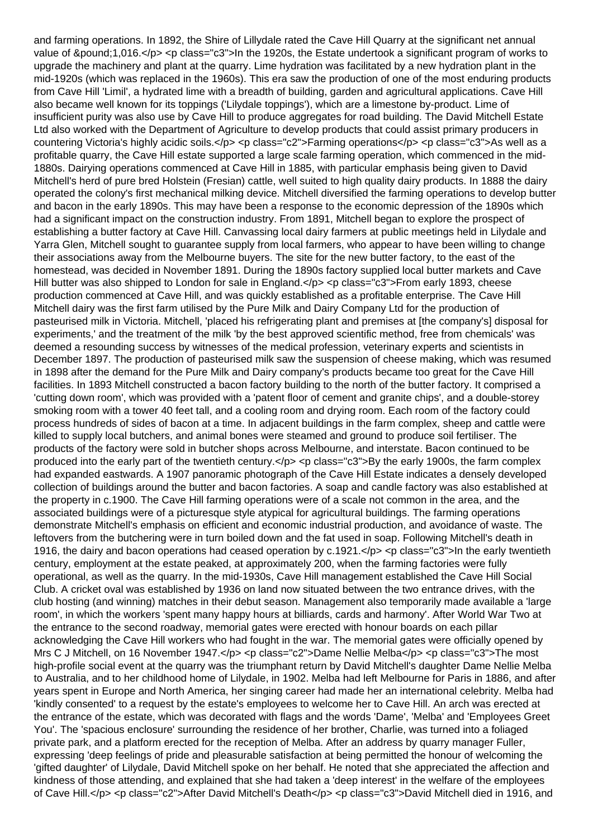and farming operations. In 1892, the Shire of Lillydale rated the Cave Hill Quarry at the significant net annual value of &pound:1,016.</p> <p class="c3">In the 1920s, the Estate undertook a significant program of works to upgrade the machinery and plant at the quarry. Lime hydration was facilitated by a new hydration plant in the mid-1920s (which was replaced in the 1960s). This era saw the production of one of the most enduring products from Cave Hill 'Limil', a hydrated lime with a breadth of building, garden and agricultural applications. Cave Hill also became well known for its toppings ('Lilydale toppings'), which are a limestone by-product. Lime of insufficient purity was also use by Cave Hill to produce aggregates for road building. The David Mitchell Estate Ltd also worked with the Department of Agriculture to develop products that could assist primary producers in countering Victoria's highly acidic soils.</p> <p class="c2">Farming operations</p> <p class="c3">As well as a profitable quarry, the Cave Hill estate supported a large scale farming operation, which commenced in the mid-1880s. Dairying operations commenced at Cave Hill in 1885, with particular emphasis being given to David Mitchell's herd of pure bred Holstein (Fresian) cattle, well suited to high quality dairy products. In 1888 the dairy operated the colony's first mechanical milking device. Mitchell diversified the farming operations to develop butter and bacon in the early 1890s. This may have been a response to the economic depression of the 1890s which had a significant impact on the construction industry. From 1891, Mitchell began to explore the prospect of establishing a butter factory at Cave Hill. Canvassing local dairy farmers at public meetings held in Lilydale and Yarra Glen, Mitchell sought to guarantee supply from local farmers, who appear to have been willing to change their associations away from the Melbourne buyers. The site for the new butter factory, to the east of the homestead, was decided in November 1891. During the 1890s factory supplied local butter markets and Cave Hill butter was also shipped to London for sale in England.</p> <p class="c3">From early 1893, cheese production commenced at Cave Hill, and was quickly established as a profitable enterprise. The Cave Hill Mitchell dairy was the first farm utilised by the Pure Milk and Dairy Company Ltd for the production of pasteurised milk in Victoria. Mitchell, 'placed his refrigerating plant and premises at [the company's] disposal for experiments,' and the treatment of the milk 'by the best approved scientific method, free from chemicals' was deemed a resounding success by witnesses of the medical profession, veterinary experts and scientists in December 1897. The production of pasteurised milk saw the suspension of cheese making, which was resumed in 1898 after the demand for the Pure Milk and Dairy company's products became too great for the Cave Hill facilities. In 1893 Mitchell constructed a bacon factory building to the north of the butter factory. It comprised a 'cutting down room', which was provided with a 'patent floor of cement and granite chips', and a double-storey smoking room with a tower 40 feet tall, and a cooling room and drying room. Each room of the factory could process hundreds of sides of bacon at a time. In adjacent buildings in the farm complex, sheep and cattle were killed to supply local butchers, and animal bones were steamed and ground to produce soil fertiliser. The products of the factory were sold in butcher shops across Melbourne, and interstate. Bacon continued to be produced into the early part of the twentieth century. $\langle p \rangle \langle p \rangle$  class="c3">By the early 1900s, the farm complex had expanded eastwards. A 1907 panoramic photograph of the Cave Hill Estate indicates a densely developed collection of buildings around the butter and bacon factories. A soap and candle factory was also established at the property in c.1900. The Cave Hill farming operations were of a scale not common in the area, and the associated buildings were of a picturesque style atypical for agricultural buildings. The farming operations demonstrate Mitchell's emphasis on efficient and economic industrial production, and avoidance of waste. The leftovers from the butchering were in turn boiled down and the fat used in soap. Following Mitchell's death in 1916, the dairy and bacon operations had ceased operation by c.1921.</p> <p class="c3">In the early twentieth century, employment at the estate peaked, at approximately 200, when the farming factories were fully operational, as well as the quarry. In the mid-1930s, Cave Hill management established the Cave Hill Social Club. A cricket oval was established by 1936 on land now situated between the two entrance drives, with the club hosting (and winning) matches in their debut season. Management also temporarily made available a 'large room', in which the workers 'spent many happy hours at billiards, cards and harmony'. After World War Two at the entrance to the second roadway, memorial gates were erected with honour boards on each pillar acknowledging the Cave Hill workers who had fought in the war. The memorial gates were officially opened by Mrs C J Mitchell, on 16 November 1947.</p> <p class="c2">Dame Nellie Melba</p> <p class="c3">The most high-profile social event at the quarry was the triumphant return by David Mitchell's daughter Dame Nellie Melba to Australia, and to her childhood home of Lilydale, in 1902. Melba had left Melbourne for Paris in 1886, and after years spent in Europe and North America, her singing career had made her an international celebrity. Melba had 'kindly consented' to a request by the estate's employees to welcome her to Cave Hill. An arch was erected at the entrance of the estate, which was decorated with flags and the words 'Dame', 'Melba' and 'Employees Greet You'. The 'spacious enclosure' surrounding the residence of her brother, Charlie, was turned into a foliaged private park, and a platform erected for the reception of Melba. After an address by quarry manager Fuller, expressing 'deep feelings of pride and pleasurable satisfaction at being permitted the honour of welcoming the 'gifted daughter' of Lilydale, David Mitchell spoke on her behalf. He noted that she appreciated the affection and kindness of those attending, and explained that she had taken a 'deep interest' in the welfare of the employees of Cave Hill.</p> <p class="c2">After David Mitchell's Death</p> <p class="c3">David Mitchell died in 1916, and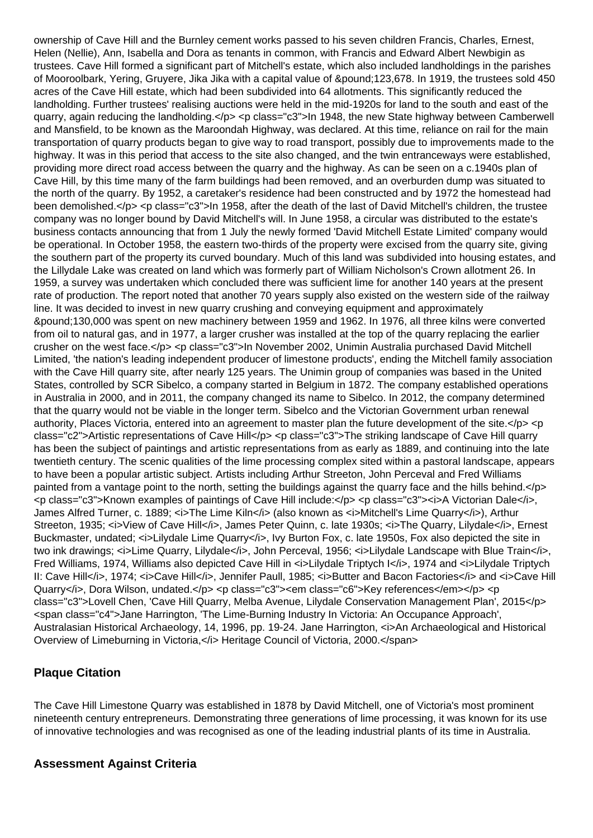ownership of Cave Hill and the Burnley cement works passed to his seven children Francis, Charles, Ernest, Helen (Nellie), Ann, Isabella and Dora as tenants in common, with Francis and Edward Albert Newbigin as trustees. Cave Hill formed a significant part of Mitchell's estate, which also included landholdings in the parishes of Mooroolbark, Yering, Gruyere, Jika Jika with a capital value of £123,678. In 1919, the trustees sold 450 acres of the Cave Hill estate, which had been subdivided into 64 allotments. This significantly reduced the landholding. Further trustees' realising auctions were held in the mid-1920s for land to the south and east of the quarry, again reducing the landholding.</p> <p class="c3">In 1948, the new State highway between Camberwell and Mansfield, to be known as the Maroondah Highway, was declared. At this time, reliance on rail for the main transportation of quarry products began to give way to road transport, possibly due to improvements made to the highway. It was in this period that access to the site also changed, and the twin entranceways were established, providing more direct road access between the quarry and the highway. As can be seen on a c.1940s plan of Cave Hill, by this time many of the farm buildings had been removed, and an overburden dump was situated to the north of the quarry. By 1952, a caretaker's residence had been constructed and by 1972 the homestead had been demolished.</p> <p class="c3">In 1958, after the death of the last of David Mitchell's children, the trustee company was no longer bound by David Mitchell's will. In June 1958, a circular was distributed to the estate's business contacts announcing that from 1 July the newly formed 'David Mitchell Estate Limited' company would be operational. In October 1958, the eastern two-thirds of the property were excised from the quarry site, giving the southern part of the property its curved boundary. Much of this land was subdivided into housing estates, and the Lillydale Lake was created on land which was formerly part of William Nicholson's Crown allotment 26. In 1959, a survey was undertaken which concluded there was sufficient lime for another 140 years at the present rate of production. The report noted that another 70 years supply also existed on the western side of the railway line. It was decided to invest in new quarry crushing and conveying equipment and approximately £130,000 was spent on new machinery between 1959 and 1962. In 1976, all three kilns were converted from oil to natural gas, and in 1977, a larger crusher was installed at the top of the quarry replacing the earlier crusher on the west face.</p> <p class="c3">In November 2002, Unimin Australia purchased David Mitchell Limited, 'the nation's leading independent producer of limestone products', ending the Mitchell family association with the Cave Hill quarry site, after nearly 125 years. The Unimin group of companies was based in the United States, controlled by SCR Sibelco, a company started in Belgium in 1872. The company established operations in Australia in 2000, and in 2011, the company changed its name to Sibelco. In 2012, the company determined that the quarry would not be viable in the longer term. Sibelco and the Victorian Government urban renewal authority, Places Victoria, entered into an agreement to master plan the future development of the site.</p> <p class="c2">Artistic representations of Cave Hill</p> <p class="c3">The striking landscape of Cave Hill quarry has been the subject of paintings and artistic representations from as early as 1889, and continuing into the late twentieth century. The scenic qualities of the lime processing complex sited within a pastoral landscape, appears to have been a popular artistic subject. Artists including Arthur Streeton, John Perceval and Fred Williams painted from a vantage point to the north, setting the buildings against the quarry face and the hills behind.</p> <p class="c3">Known examples of paintings of Cave Hill include:</p> <p class="c3"><i>A Victorian Dale</i>, James Alfred Turner, c. 1889; <i>The Lime Kiln</i> (also known as <i>Mitchell's Lime Quarry</i>), Arthur Streeton, 1935; <i>View of Cave Hill</i>, James Peter Quinn, c. late 1930s; <i>The Quarry, Lilydale</i>, Ernest Buckmaster, undated; <i>Lilydale Lime Quarry</i>, Ivy Burton Fox, c. late 1950s, Fox also depicted the site in two ink drawings; <i>Lime Quarry, Lilydale</i>, John Perceval, 1956; <i>Lilydale Landscape with Blue Train</i>, Fred Williams, 1974, Williams also depicted Cave Hill in *ci*>Lilydale Triptych I</i>, 1974 and *ci*>Lilydale Triptych II: Cave Hill</i>, 1974; <i>Cave Hill</i>, Jennifer Paull, 1985; <i>Butter and Bacon Factories</i> and <i>Cave Hill Quarry</i>, Dora Wilson, undated.</p><p class="c3"><em class="c6">Key references</em></p><p class="c3">Lovell Chen, 'Cave Hill Quarry, Melba Avenue, Lilydale Conservation Management Plan', 2015</p> <span class="c4">Jane Harrington, 'The Lime-Burning Industry In Victoria: An Occupance Approach', Australasian Historical Archaeology, 14, 1996, pp. 19-24. Jane Harrington,  $\epsilon$ i>An Archaeological and Historical Overview of Limeburning in Victoria, </i>
Heritage Council of Victoria, 2000.</span>

## **Plaque Citation**

The Cave Hill Limestone Quarry was established in 1878 by David Mitchell, one of Victoria's most prominent nineteenth century entrepreneurs. Demonstrating three generations of lime processing, it was known for its use of innovative technologies and was recognised as one of the leading industrial plants of its time in Australia.

## **Assessment Against Criteria**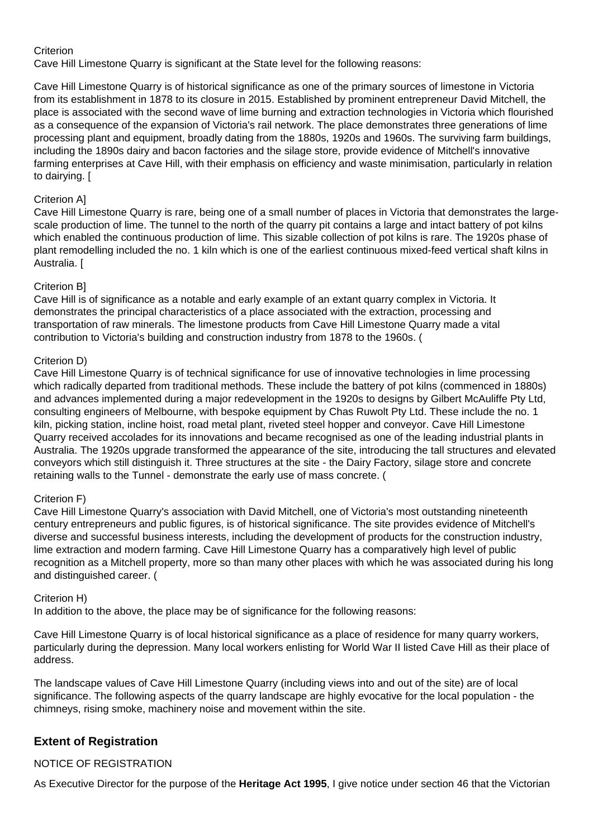#### **Criterion**

Cave Hill Limestone Quarry is significant at the State level for the following reasons:

Cave Hill Limestone Quarry is of historical significance as one of the primary sources of limestone in Victoria from its establishment in 1878 to its closure in 2015. Established by prominent entrepreneur David Mitchell, the place is associated with the second wave of lime burning and extraction technologies in Victoria which flourished as a consequence of the expansion of Victoria's rail network. The place demonstrates three generations of lime processing plant and equipment, broadly dating from the 1880s, 1920s and 1960s. The surviving farm buildings, including the 1890s dairy and bacon factories and the silage store, provide evidence of Mitchell's innovative farming enterprises at Cave Hill, with their emphasis on efficiency and waste minimisation, particularly in relation to dairying. [

#### Criterion A]

Cave Hill Limestone Quarry is rare, being one of a small number of places in Victoria that demonstrates the largescale production of lime. The tunnel to the north of the quarry pit contains a large and intact battery of pot kilns which enabled the continuous production of lime. This sizable collection of pot kilns is rare. The 1920s phase of plant remodelling included the no. 1 kiln which is one of the earliest continuous mixed-feed vertical shaft kilns in Australia. [

#### Criterion B]

Cave Hill is of significance as a notable and early example of an extant quarry complex in Victoria. It demonstrates the principal characteristics of a place associated with the extraction, processing and transportation of raw minerals. The limestone products from Cave Hill Limestone Quarry made a vital contribution to Victoria's building and construction industry from 1878 to the 1960s. (

#### Criterion D)

Cave Hill Limestone Quarry is of technical significance for use of innovative technologies in lime processing which radically departed from traditional methods. These include the battery of pot kilns (commenced in 1880s) and advances implemented during a major redevelopment in the 1920s to designs by Gilbert McAuliffe Pty Ltd, consulting engineers of Melbourne, with bespoke equipment by Chas Ruwolt Pty Ltd. These include the no. 1 kiln, picking station, incline hoist, road metal plant, riveted steel hopper and conveyor. Cave Hill Limestone Quarry received accolades for its innovations and became recognised as one of the leading industrial plants in Australia. The 1920s upgrade transformed the appearance of the site, introducing the tall structures and elevated conveyors which still distinguish it. Three structures at the site - the Dairy Factory, silage store and concrete retaining walls to the Tunnel - demonstrate the early use of mass concrete. (

#### Criterion F)

Cave Hill Limestone Quarry's association with David Mitchell, one of Victoria's most outstanding nineteenth century entrepreneurs and public figures, is of historical significance. The site provides evidence of Mitchell's diverse and successful business interests, including the development of products for the construction industry, lime extraction and modern farming. Cave Hill Limestone Quarry has a comparatively high level of public recognition as a Mitchell property, more so than many other places with which he was associated during his long and distinguished career. (

#### Criterion H)

In addition to the above, the place may be of significance for the following reasons:

Cave Hill Limestone Quarry is of local historical significance as a place of residence for many quarry workers, particularly during the depression. Many local workers enlisting for World War II listed Cave Hill as their place of address.

The landscape values of Cave Hill Limestone Quarry (including views into and out of the site) are of local significance. The following aspects of the quarry landscape are highly evocative for the local population - the chimneys, rising smoke, machinery noise and movement within the site.

## **Extent of Registration**

## NOTICE OF REGISTRATION

As Executive Director for the purpose of the **Heritage Act 1995**, I give notice under section 46 that the Victorian